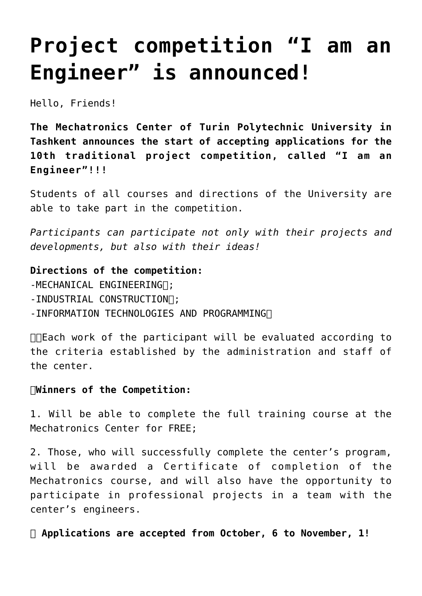## **[Project competition "I am an](https://polito.uz/11763/) [Engineer" is announced!](https://polito.uz/11763/)**

Hello, Friends!

**The Mechatronics Center of Turin Polytechnic University in Tashkent announces the start of accepting applications for the 10th traditional project competition, called "I am an Engineer"!!!**

Students of all courses and directions of the University are able to take part in the competition.

*Participants can participate not only with their projects and developments, but also with their ideas!*

**Directions of the competition:** -MECHANICAL ENGINEERING .: -INDUSTRIAL CONSTRUCTION []; -INFORMATION TECHNOLOGIES AND PROGRAMMING

❗️Each work of the participant will be evaluated according to the criteria established by the administration and staff of the center.

## **Winners of the Competition:**

1. Will be able to complete the full training course at the Mechatronics Center for FREE;

2. Those, who will successfully complete the center's program, will be awarded a Certificate of completion of the Mechatronics course, and will also have the opportunity to participate in professional projects in a team with the center's engineers.

⏰ **Applications are accepted from October, 6 to November, 1!**